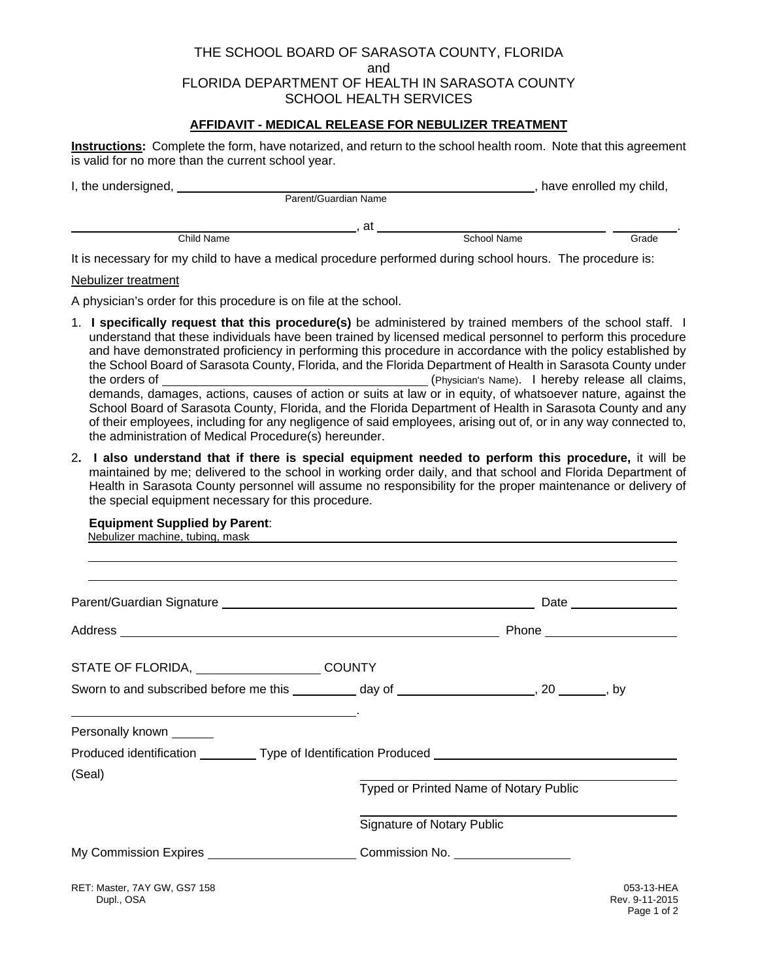### THE SCHOOL BOARD OF SARASOTA COUNTY, FLORIDA and FLORIDA DEPARTMENT OF HEALTH IN SARASOTA COUNTY SCHOOL HEALTH SERVICES

### **AFFIDAVIT - MEDICAL RELEASE FOR NEBULIZER TREATMENT**

**Instructions:** Complete the form, have notarized, and return to the school health room. Note that this agreement is valid for no more than the current school year.

| I, the undersigned, |                      |  |    | have enrolled my child, |  |       |
|---------------------|----------------------|--|----|-------------------------|--|-------|
|                     | Parent/Guardian Name |  |    |                         |  |       |
|                     |                      |  | at |                         |  |       |
|                     | Child Name           |  |    | School Name             |  | Grade |
|                     |                      |  |    |                         |  |       |

It is necessary for my child to have a medical procedure performed during school hours. The procedure is:

#### Nebulizer treatment

A physician's order for this procedure is on file at the school.

- 1. **I specifically request that this procedure(s)** be administered by trained members of the school staff. I understand that these individuals have been trained by licensed medical personnel to perform this procedure and have demonstrated proficiency in performing this procedure in accordance with the policy established by the School Board of Sarasota County, Florida, and the Florida Department of Health in Sarasota County under the orders of (Physician's Name). I hereby release all claims, demands, damages, actions, causes of action or suits at law or in equity, of whatsoever nature, against the School Board of Sarasota County, Florida, and the Florida Department of Health in Sarasota County and any of their employees, including for any negligence of said employees, arising out of, or in any way connected to, the administration of Medical Procedure(s) hereunder.
- 2**. I also understand that if there is special equipment needed to perform this procedure,** it will be maintained by me; delivered to the school in working order daily, and that school and Florida Department of Health in Sarasota County personnel will assume no responsibility for the proper maintenance or delivery of the special equipment necessary for this procedure.

#### **Equipment Supplied by Parent**:

| Nebulizer machine, tubing, mask experience of the control of the control of the control of the control of the control of the control of the control of the control of the control of the control of the control of the control |                            |                                        |                                             |
|--------------------------------------------------------------------------------------------------------------------------------------------------------------------------------------------------------------------------------|----------------------------|----------------------------------------|---------------------------------------------|
|                                                                                                                                                                                                                                |                            |                                        |                                             |
|                                                                                                                                                                                                                                |                            |                                        |                                             |
|                                                                                                                                                                                                                                |                            |                                        |                                             |
| STATE OF FLORIDA, COUNTY                                                                                                                                                                                                       |                            |                                        |                                             |
| Sworn to and subscribed before me this __________ day of _____________________, 20 _______, by                                                                                                                                 |                            |                                        |                                             |
| Personally known ______                                                                                                                                                                                                        |                            |                                        |                                             |
| Produced identification ___________ Type of Identification Produced ________________________________                                                                                                                           |                            |                                        |                                             |
| (Seal)                                                                                                                                                                                                                         |                            | Typed or Printed Name of Notary Public |                                             |
|                                                                                                                                                                                                                                | Signature of Notary Public |                                        |                                             |
| My Commission Expires _____________________________Commission No. ______________                                                                                                                                               |                            |                                        |                                             |
| RET: Master, 7AY GW, GS7 158<br>Dupl., OSA                                                                                                                                                                                     |                            |                                        | 053-13-HEA<br>Rev. 9-11-2015<br>Page 1 of 2 |